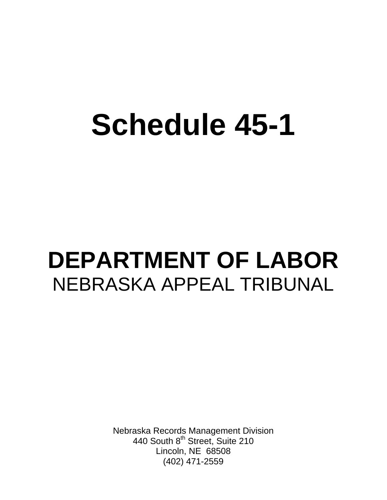# **Schedule 45-1**

## **DEPARTMENT OF LABOR**  NEBRASKA APPEAL TRIBUNAL

Nebraska Records Management Division 440 South 8<sup>th</sup> Street, Suite 210 Lincoln, NE 68508 (402) 471-2559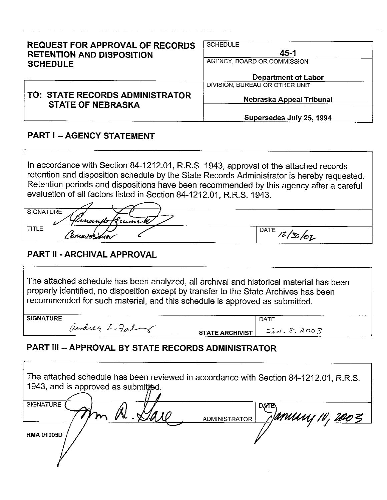| <b>REQUEST FOR APPROVAL OF RECORDS</b><br><b>RETENTION AND DISPOSITION</b><br><b>SCHEDULE</b> | <b>SCHEDULE</b><br>$45 - 1$<br>AGENCY, BOARD OR COMMISSION |  |
|-----------------------------------------------------------------------------------------------|------------------------------------------------------------|--|
|                                                                                               | Department of Labor                                        |  |
|                                                                                               | DIVISION, BUREAU OR OTHER UNIT                             |  |
| TO: STATE RECORDS ADMINISTRATOR<br><b>STATE OF NEBRASKA</b>                                   | Nebraska Appeal Tribunal                                   |  |
|                                                                                               | Supersedes July 25, 1994                                   |  |

#### **PART I -- AGENCY STATEMENT**

In accordance with Section 84-1212.01, R.R.S. 1943, approval of the attached records retention and disposition schedule by the State Records Administrator is hereby requested. Retention periods and dispositions have been recommended by this agency after a careful evaluation of all factors listed in Section 84-1212.01, R.R.S. 1943.

| <b>SIGNATURE</b> |             |
|------------------|-------------|
| finando Kuma W   |             |
| <b>TITLE</b>     | <b>DATE</b> |
| Commissione      | 14/30/07    |

## PART II - ARCHIVAL APPROVAL

The attached schedule has been analyzed, all archival and historical material has been properly identified, no disposition except by transfer to the State Archives has been recommended for such material, and this schedule is approved as submitted.

**SIGNATURE** 

andrea I. Fal

**DATE STATE ARCHIVIST** 

 $J_{4}n.8,2003$ 

## PART III -- APPROVAL BY STATE RECORDS ADMINISTRATOR

| The attached schedule has been reviewed in accordance with Section 84-1212.01, R.R.S.<br>1943, and is approved as submitted. |                                                      |
|------------------------------------------------------------------------------------------------------------------------------|------------------------------------------------------|
| <b>SIGNATURE</b>                                                                                                             | <b>DATE</b><br>MMUU 10, 2003<br><b>ADMINISTRATOR</b> |
| <b>RMA 01005D</b>                                                                                                            |                                                      |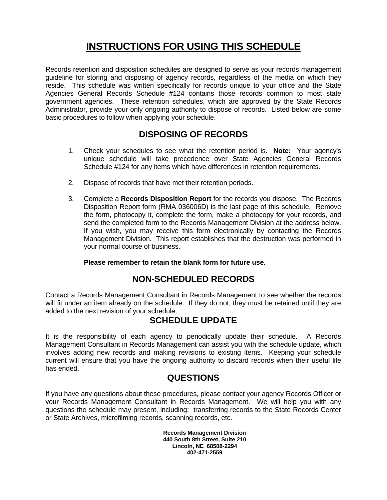## **INSTRUCTIONS FOR USING THIS SCHEDULE**

Records retention and disposition schedules are designed to serve as your records management guideline for storing and disposing of agency records, regardless of the media on which they reside. This schedule was written specifically for records unique to your office and the State Agencies General Records Schedule #124 contains those records common to most state government agencies. These retention schedules, which are approved by the State Records Administrator, provide your only ongoing authority to dispose of records. Listed below are some basic procedures to follow when applying your schedule.

## **DISPOSING OF RECORDS**

- 1. Check your schedules to see what the retention period is**. Note:** Your agency's unique schedule will take precedence over State Agencies General Records Schedule #124 for any items which have differences in retention requirements.
- 2. Dispose of records that have met their retention periods.
- 3. Complete a **Records Disposition Report** for the records you dispose. The Records Disposition Report form (RMA 036006D) is the last page of this schedule. Remove the form, photocopy it, complete the form, make a photocopy for your records, and send the completed form to the Records Management Division at the address below. If you wish, you may receive this form electronically by contacting the Records Management Division. This report establishes that the destruction was performed in your normal course of business.

#### **Please remember to retain the blank form for future use.**

#### **NON-SCHEDULED RECORDS**

Contact a Records Management Consultant in Records Management to see whether the records will fit under an item already on the schedule. If they do not, they must be retained until they are added to the next revision of your schedule.

#### **SCHEDULE UPDATE**

It is the responsibility of each agency to periodically update their schedule. A Records Management Consultant in Records Management can assist you with the schedule update, which involves adding new records and making revisions to existing items. Keeping your schedule current will ensure that you have the ongoing authority to discard records when their useful life has ended.

#### **QUESTIONS**

If you have any questions about these procedures, please contact your agency Records Officer or your Records Management Consultant in Records Management. We will help you with any questions the schedule may present, including: transferring records to the State Records Center or State Archives, microfilming records, scanning records, etc.

> **Records Management Division 440 South 8th Street, Suite 210 Lincoln, NE 68508-2294 402-471-2559**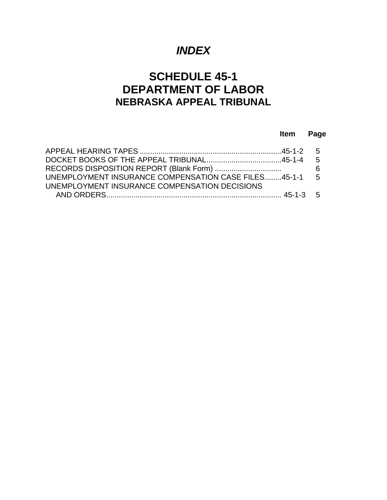## *INDEX*

## **SCHEDULE 45-1 DEPARTMENT OF LABOR NEBRASKA APPEAL TRIBUNAL**

#### **Item Page**

|                                                        | - 6 |
|--------------------------------------------------------|-----|
| UNEMPLOYMENT INSURANCE COMPENSATION CASE FILES45-1-1 5 |     |
| UNEMPLOYMENT INSURANCE COMPENSATION DECISIONS          |     |
|                                                        |     |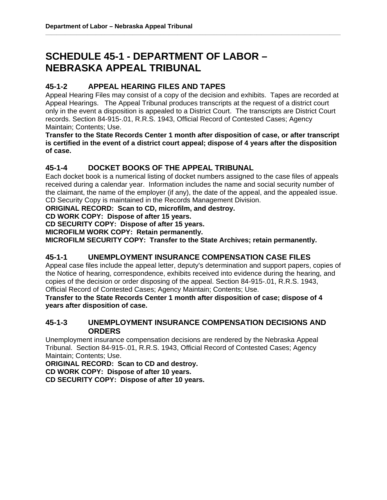## **SCHEDULE 45-1 - DEPARTMENT OF LABOR – NEBRASKA APPEAL TRIBUNAL**

#### **45-1-2 APPEAL HEARING FILES AND TAPES**

Appeal Hearing Files may consist of a copy of the decision and exhibits. Tapes are recorded at Appeal Hearings. The Appeal Tribunal produces transcripts at the request of a district court only in the event a disposition is appealed to a District Court. The transcripts are District Court records. Section 84-915-.01, R.R.S. 1943, Official Record of Contested Cases; Agency Maintain; Contents; Use.

**\_\_\_\_\_\_\_\_\_\_\_\_\_\_\_\_\_\_\_\_\_\_\_\_\_\_\_\_\_\_\_\_\_\_\_\_\_\_\_\_\_\_\_\_\_\_\_\_\_\_\_\_\_\_\_\_\_\_\_\_\_\_\_\_\_\_\_\_\_\_\_\_\_\_\_\_\_\_\_\_\_\_\_\_\_\_\_\_\_\_\_\_\_\_\_\_\_\_\_\_\_\_\_\_\_** 

**Transfer to the State Records Center 1 month after disposition of case, or after transcript is certified in the event of a district court appeal; dispose of 4 years after the disposition of case.** 

#### **45-1-4 DOCKET BOOKS OF THE APPEAL TRIBUNAL**

Each docket book is a numerical listing of docket numbers assigned to the case files of appeals received during a calendar year. Information includes the name and social security number of the claimant, the name of the employer (if any), the date of the appeal, and the appealed issue. CD Security Copy is maintained in the Records Management Division.

**ORIGINAL RECORD: Scan to CD, microfilm, and destroy.** 

**CD WORK COPY: Dispose of after 15 years.** 

**CD SECURITY COPY: Dispose of after 15 years.** 

**MICROFILM WORK COPY: Retain permanently.** 

**MICROFILM SECURITY COPY: Transfer to the State Archives; retain permanently.** 

#### **45-1-1 UNEMPLOYMENT INSURANCE COMPENSATION CASE FILES**

Appeal case files include the appeal letter, deputy's determination and support papers, copies of the Notice of hearing, correspondence, exhibits received into evidence during the hearing, and copies of the decision or order disposing of the appeal. Section 84-915-.01, R.R.S. 1943, Official Record of Contested Cases; Agency Maintain; Contents; Use.

**Transfer to the State Records Center 1 month after disposition of case; dispose of 4 years after disposition of case.** 

#### **45-1-3 UNEMPLOYMENT INSURANCE COMPENSATION DECISIONS AND ORDERS**

Unemployment insurance compensation decisions are rendered by the Nebraska Appeal Tribunal. Section 84-915-.01, R.R.S. 1943, Official Record of Contested Cases; Agency Maintain; Contents; Use.

**ORIGINAL RECORD: Scan to CD and destroy.** 

**CD WORK COPY: Dispose of after 10 years.** 

**CD SECURITY COPY: Dispose of after 10 years.**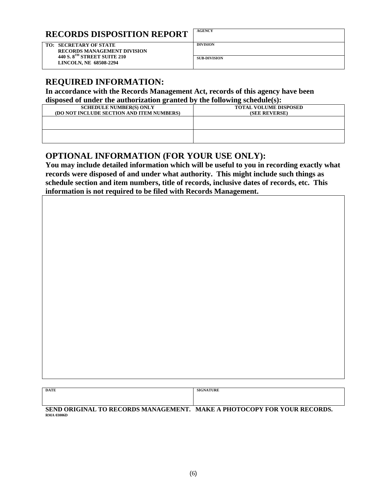## **RECORDS DISPOSITION REPORT AGENCY**

**TO: SECRETARY OF STATE** DIVISION  **RECORDS MANAGEMENT DIVISION 440 S. 8TH STREET SUITE 210 2440 S. 8<sup>1h</sup> STREET SUITE 210 SUB-DIVISION SUB-DIVISION** 

#### **REQUIRED INFORMATION:**

**In accordance with the Records Management Act, records of this agency have been disposed of under the authorization granted by the following schedule(s):** 

| <b>SCHEDULE NUMBER(S) ONLY</b><br>(DO NOT INCLUDE SECTION AND ITEM NUMBERS) | <b>TOTAL VOLUME DISPOSED</b><br>(SEE REVERSE) |
|-----------------------------------------------------------------------------|-----------------------------------------------|
|                                                                             |                                               |
|                                                                             |                                               |

## **OPTIONAL INFORMATION (FOR YOUR USE ONLY):**

**You may include detailed information which will be useful to you in recording exactly what records were disposed of and under what authority. This might include such things as schedule section and item numbers, title of records, inclusive dates of records, etc. This information is not required to be filed with Records Management.** 

| <b>DATE</b><br>----- | THEFT<br>C(T)<br>JKI<br> |
|----------------------|--------------------------|
|                      |                          |
|                      |                          |

SEND ORIGINAL TO RECORDS MANAGEMENT. MAKE A PHOTOCOPY FOR YOUR RECORDS.